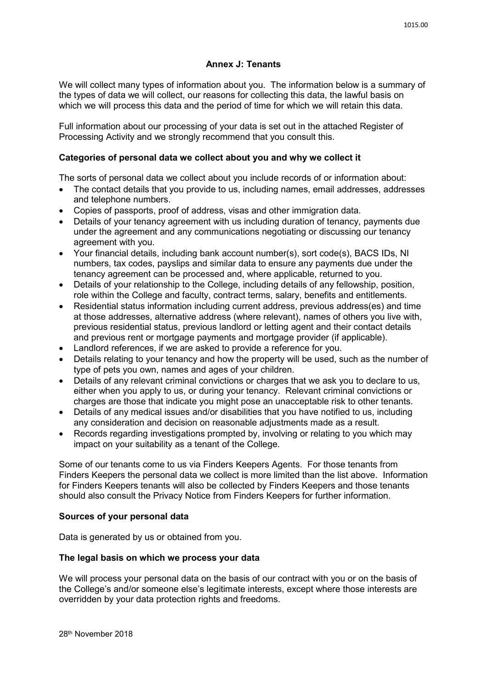# **Annex J: Tenants**

We will collect many types of information about you. The information below is a summary of the types of data we will collect, our reasons for collecting this data, the lawful basis on which we will process this data and the period of time for which we will retain this data.

Full information about our processing of your data is set out in the attached Register of Processing Activity and we strongly recommend that you consult this.

### **Categories of personal data we collect about you and why we collect it**

The sorts of personal data we collect about you include records of or information about:

- The contact details that you provide to us, including names, email addresses, addresses and telephone numbers.
- Copies of passports, proof of address, visas and other immigration data.
- Details of your tenancy agreement with us including duration of tenancy, payments due under the agreement and any communications negotiating or discussing our tenancy agreement with you.
- Your financial details, including bank account number(s), sort code(s), BACS IDs, NI numbers, tax codes, payslips and similar data to ensure any payments due under the tenancy agreement can be processed and, where applicable, returned to you.
- Details of your relationship to the College, including details of any fellowship, position, role within the College and faculty, contract terms, salary, benefits and entitlements.
- Residential status information including current address, previous address(es) and time at those addresses, alternative address (where relevant), names of others you live with, previous residential status, previous landlord or letting agent and their contact details and previous rent or mortgage payments and mortgage provider (if applicable).
- Landlord references, if we are asked to provide a reference for you.
- Details relating to your tenancy and how the property will be used, such as the number of type of pets you own, names and ages of your children.
- Details of any relevant criminal convictions or charges that we ask you to declare to us, either when you apply to us, or during your tenancy. Relevant criminal convictions or charges are those that indicate you might pose an unacceptable risk to other tenants.
- Details of any medical issues and/or disabilities that you have notified to us, including any consideration and decision on reasonable adjustments made as a result.
- Records regarding investigations prompted by, involving or relating to you which may impact on your suitability as a tenant of the College.

Some of our tenants come to us via Finders Keepers Agents. For those tenants from Finders Keepers the personal data we collect is more limited than the list above. Information for Finders Keepers tenants will also be collected by Finders Keepers and those tenants should also consult the Privacy Notice from Finders Keepers for further information.

#### **Sources of your personal data**

Data is generated by us or obtained from you.

#### **The legal basis on which we process your data**

We will process your personal data on the basis of our contract with you or on the basis of the College's and/or someone else's legitimate interests, except where those interests are overridden by your data protection rights and freedoms.